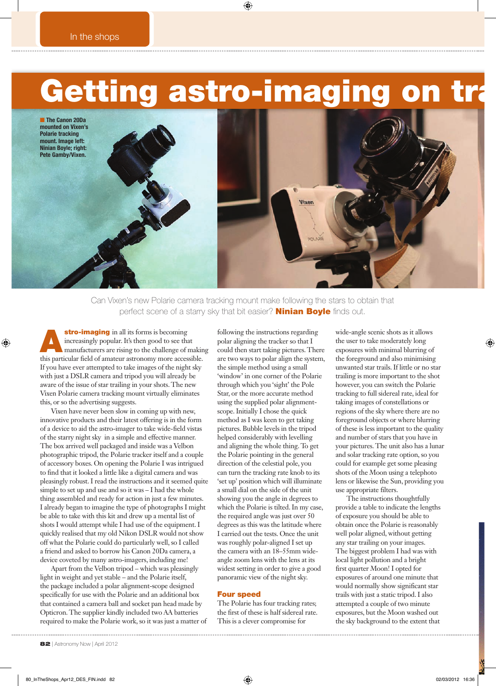## Getting astro-imaging on tr

■ The Canon 20Da mounted on Vixen's Polarie tracking mount. Image left: Ninian Boyle; right: Pete Gamby/Vixen.



Can Vixen's new Polarie camera tracking mount make following the stars to obtain that perfect scene of a starry sky that bit easier? **Ninian Boyle** finds out.

stro-imaging in all its forms is becoming<br>increasingly popular. It's then good to see that<br>manufacturers are rising to the challenge of making<br>this particular field of and the challenge associable increasingly popular. It's then good to see that this particular field of amateur astronomy more accessible. If you have ever attempted to take images of the night sky with just a DSLR camera and tripod you will already be aware of the issue of star trailing in your shots. The new Vixen Polarie camera tracking mount virtually eliminates this, or so the advertising suggests.

Vixen have never been slow in coming up with new, innovative products and their latest offering is in the form of a device to aid the astro-imager to take wide-field vistas of the starry night sky in a simple and effective manner. The box arrived well packaged and inside was a Velbon photographic tripod, the Polarie tracker itself and a couple of accessory boxes. On opening the Polarie I was intrigued to find that it looked a little like a digital camera and was pleasingly robust. I read the instructions and it seemed quite simple to set up and use and so it was – I had the whole thing assembled and ready for action in just a few minutes. I already began to imagine the type of photographs I might be able to take with this kit and drew up a mental list of shots I would attempt while I had use of the equipment. I quickly realised that my old Nikon DSLR would not show off what the Polarie could do particularly well, so I called a friend and asked to borrow his Canon 20Da camera, a device coveted by many astro-imagers, including me!

Apart from the Velbon tripod – which was pleasingly light in weight and yet stable – and the Polarie itself, the package included a polar alignment-scope designed specifically for use with the Polarie and an additional box that contained a camera ball and socket pan head made by Opticron. The supplier kindly included two AA batteries required to make the Polarie work, so it was just a matter of following the instructions regarding polar aligning the tracker so that I could then start taking pictures. There are two ways to polar align the system, the simple method using a small 'window' in one corner of the Polarie through which you 'sight' the Pole Star, or the more accurate method using the supplied polar alignmentscope. Initially I chose the quick method as I was keen to get taking pictures. Bubble levels in the tripod helped considerably with levelling and aligning the whole thing. To get the Polarie pointing in the general direction of the celestial pole, you can turn the tracking rate knob to its 'set up' position which will illuminate a small dial on the side of the unit showing you the angle in degrees to which the Polarie is tilted. In my case, the required angle was just over 50 degrees as this was the latitude where I carried out the tests. Once the unit was roughly polar-aligned I set up the camera with an 18–55mm wideangle zoom lens with the lens at its widest setting in order to give a good panoramic view of the night sky.

## Four speed

The Polarie has four tracking rates; the first of these is half sidereal rate. This is a clever compromise for

wide-angle scenic shots as it allows the user to take moderately long exposures with minimal blurring of the foreground and also minimising unwanted star trails. If little or no star trailing is more important to the shot however, you can switch the Polarie tracking to full sidereal rate, ideal for taking images of constellations or regions of the sky where there are no foreground objects or where blurring of these is less important to the quality and number of stars that you have in your pictures. The unit also has a lunar and solar tracking rate option, so you could for example get some pleasing shots of the Moon using a telephoto lens or likewise the Sun, providing you use appropriate filters.

The instructions thoughtfully provide a table to indicate the lengths of exposure you should be able to obtain once the Polarie is reasonably well polar aligned, without getting any star trailing on your images. The biggest problem I had was with local light pollution and a bright first quarter Moon! I opted for exposures of around one minute that would normally show significant star trails with just a static tripod. I also attempted a couple of two minute exposures, but the Moon washed out the sky background to the extent that

82 | Astronomy Now | April 2012